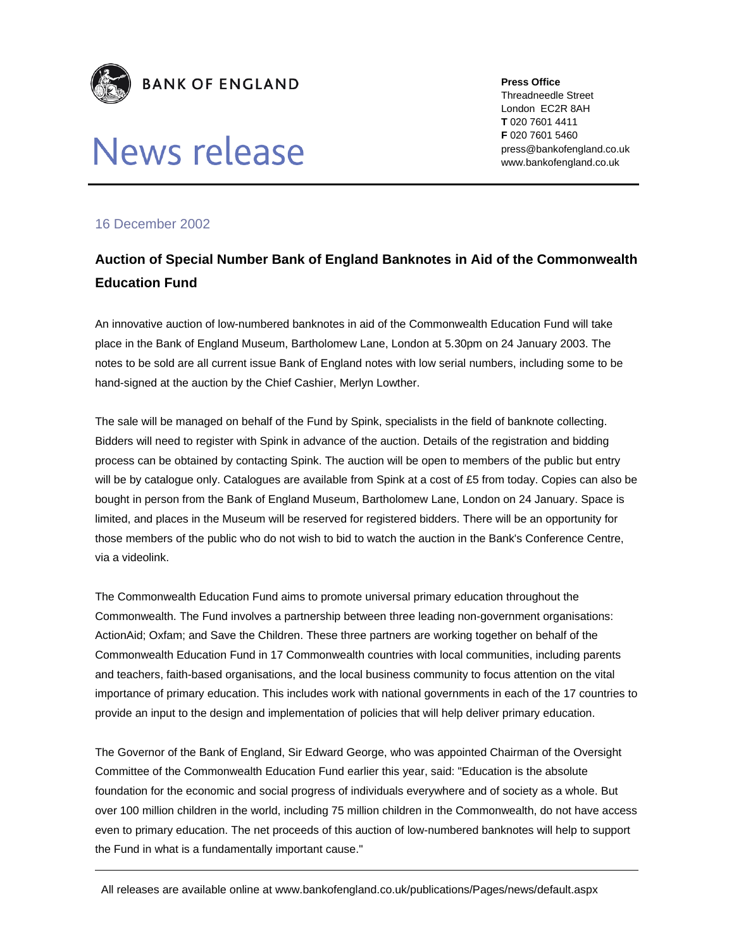

## News release

**Press Office**  Threadneedle Street London EC2R 8AH **T** 020 7601 4411 **F** 020 7601 5460 press@bankofengland.co.uk www.bankofengland.co.uk

## 16 December 2002

## **Auction of Special Number Bank of England Banknotes in Aid of the Commonwealth Education Fund**

An innovative auction of low-numbered banknotes in aid of the Commonwealth Education Fund will take place in the Bank of England Museum, Bartholomew Lane, London at 5.30pm on 24 January 2003. The notes to be sold are all current issue Bank of England notes with low serial numbers, including some to be hand-signed at the auction by the Chief Cashier, Merlyn Lowther.

The sale will be managed on behalf of the Fund by Spink, specialists in the field of banknote collecting. Bidders will need to register with Spink in advance of the auction. Details of the registration and bidding process can be obtained by contacting Spink. The auction will be open to members of the public but entry will be by catalogue only. Catalogues are available from Spink at a cost of £5 from today. Copies can also be bought in person from the Bank of England Museum, Bartholomew Lane, London on 24 January. Space is limited, and places in the Museum will be reserved for registered bidders. There will be an opportunity for those members of the public who do not wish to bid to watch the auction in the Bank's Conference Centre, via a videolink.

The Commonwealth Education Fund aims to promote universal primary education throughout the Commonwealth. The Fund involves a partnership between three leading non-government organisations: ActionAid; Oxfam; and Save the Children. These three partners are working together on behalf of the Commonwealth Education Fund in 17 Commonwealth countries with local communities, including parents and teachers, faith-based organisations, and the local business community to focus attention on the vital importance of primary education. This includes work with national governments in each of the 17 countries to provide an input to the design and implementation of policies that will help deliver primary education.

The Governor of the Bank of England, Sir Edward George, who was appointed Chairman of the Oversight Committee of the Commonwealth Education Fund earlier this year, said: "Education is the absolute foundation for the economic and social progress of individuals everywhere and of society as a whole. But over 100 million children in the world, including 75 million children in the Commonwealth, do not have access even to primary education. The net proceeds of this auction of low-numbered banknotes will help to support the Fund in what is a fundamentally important cause."

All releases are available online at www.bankofengland.co.uk/publications/Pages/news/default.aspx